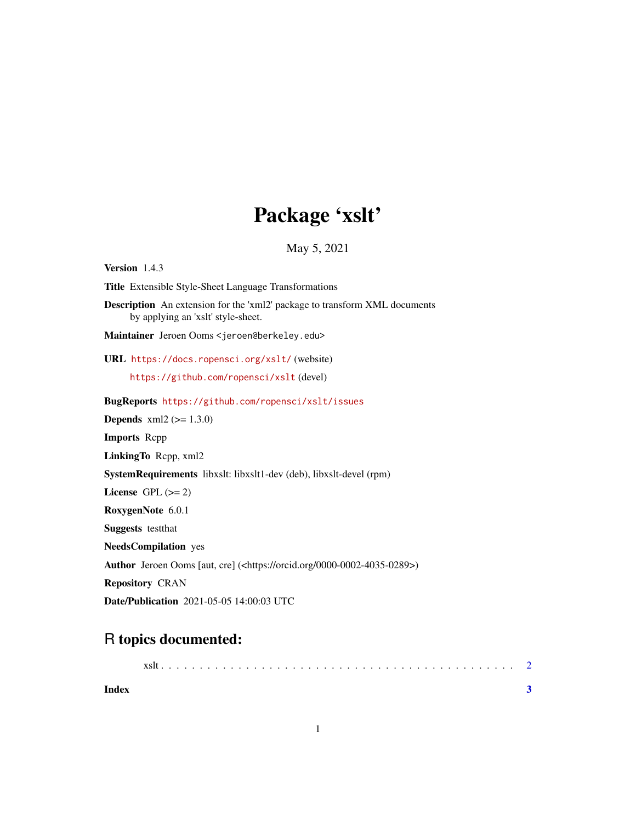# Package 'xslt'

May 5, 2021

<span id="page-0-0"></span>Version 1.4.3 Title Extensible Style-Sheet Language Transformations Description An extension for the 'xml2' package to transform XML documents by applying an 'xslt' style-sheet. Maintainer Jeroen Ooms <jeroen@berkeley.edu> URL <https://docs.ropensci.org/xslt/> (website) <https://github.com/ropensci/xslt> (devel) BugReports <https://github.com/ropensci/xslt/issues> **Depends**  $xml2 (= 1.3.0)$ Imports Rcpp LinkingTo Rcpp, xml2 SystemRequirements libxslt: libxslt1-dev (deb), libxslt-devel (rpm) License GPL  $(>= 2)$ RoxygenNote 6.0.1 Suggests testthat NeedsCompilation yes Author Jeroen Ooms [aut, cre] (<https://orcid.org/0000-0002-4035-0289>) Repository CRAN Date/Publication 2021-05-05 14:00:03 UTC

## R topics documented:

| Index |  |  |  |  |  |  |  |  |  |  |  |  |  |  |  |  |
|-------|--|--|--|--|--|--|--|--|--|--|--|--|--|--|--|--|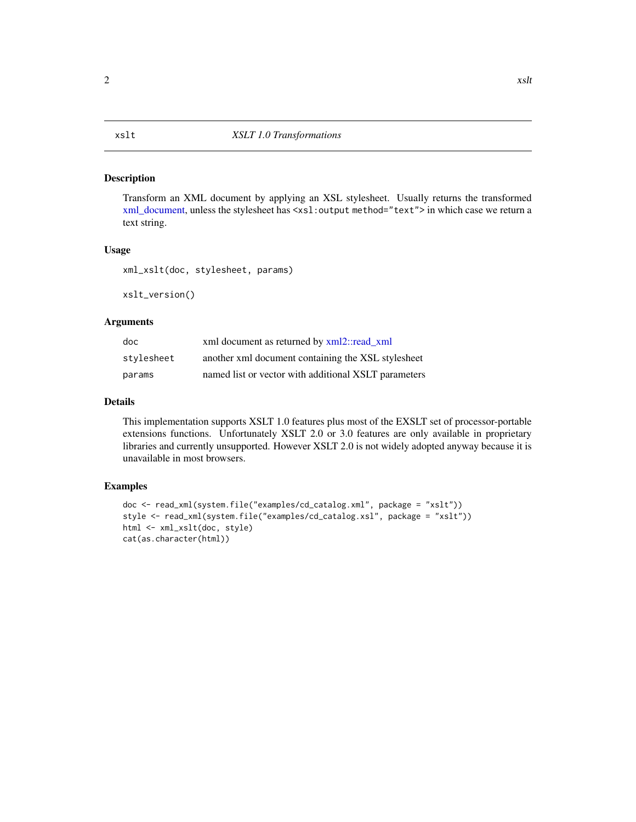#### <span id="page-1-0"></span>Description

Transform an XML document by applying an XSL stylesheet. Usually returns the transformed [xml\\_document,](#page-0-0) unless the stylesheet has <xsl:output method="text"> in which case we return a text string.

#### Usage

xml\_xslt(doc, stylesheet, params)

xslt\_version()

#### Arguments

| doc        | xml document as returned by xml2::read xml           |
|------------|------------------------------------------------------|
| stylesheet | another xml document containing the XSL stylesheet   |
| params     | named list or vector with additional XSLT parameters |

#### Details

This implementation supports XSLT 1.0 features plus most of the EXSLT set of processor-portable extensions functions. Unfortunately XSLT 2.0 or 3.0 features are only available in proprietary libraries and currently unsupported. However XSLT 2.0 is not widely adopted anyway because it is unavailable in most browsers.

### Examples

```
doc <- read_xml(system.file("examples/cd_catalog.xml", package = "xslt"))
style <- read_xml(system.file("examples/cd_catalog.xsl", package = "xslt"))
html <- xml_xslt(doc, style)
cat(as.character(html))
```